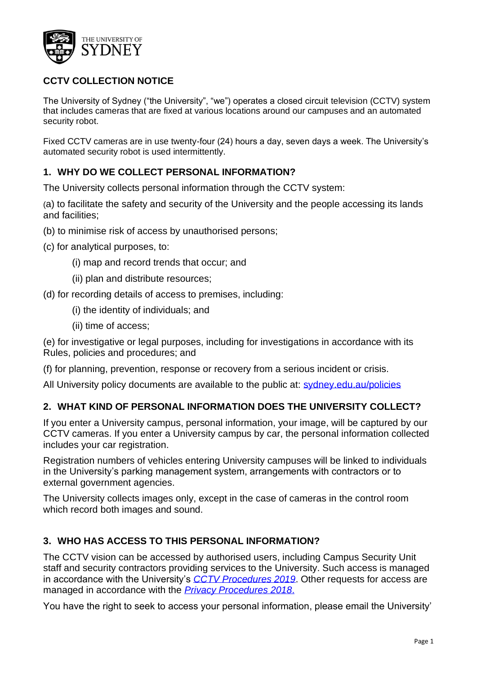

# **CCTV COLLECTION NOTICE**

The University of Sydney ("the University", "we") operates a closed circuit television (CCTV) system that includes cameras that are fixed at various locations around our campuses and an automated security robot.

Fixed CCTV cameras are in use twenty-four (24) hours a day, seven days a week. The University's automated security robot is used intermittently.

### **1. WHY DO WE COLLECT PERSONAL INFORMATION?**

The University collects personal information through the CCTV system:

(a) to facilitate the safety and security of the University and the people accessing its lands and facilities;

- (b) to minimise risk of access by unauthorised persons;
- (c) for analytical purposes, to:
	- (i) map and record trends that occur; and
	- (ii) plan and distribute resources;
- (d) for recording details of access to premises, including:
	- (i) the identity of individuals; and
	- (ii) time of access;

(e) for investigative or legal purposes, including for investigations in accordance with its Rules, policies and procedures; and

(f) for planning, prevention, response or recovery from a serious incident or crisis.

All University policy documents are available to the public at: [sydney.edu.au/policies](http://sydney.edu.au/policies/)

#### **2. WHAT KIND OF PERSONAL INFORMATION DOES THE UNIVERSITY COLLECT?**

If you enter a University campus, personal information, your image, will be captured by our CCTV cameras. If you enter a University campus by car, the personal information collected includes your car registration.

Registration numbers of vehicles entering University campuses will be linked to individuals in the University's parking management system, arrangements with contractors or to external government agencies.

The University collects images only, except in the case of cameras in the control room which record both images and sound.

#### **3. WHO HAS ACCESS TO THIS PERSONAL INFORMATION?**

The CCTV vision can be accessed by authorised users, including Campus Security Unit staff and security contractors providing services to the University. Such access is managed in accordance with the University's *[CCTV Procedures 2019](http://sydney.edu.au/policies/showdoc.aspx?recnum=PDOC2019/486&RendNum=0)*. Other requests for access are managed in accordance with the *[Privacy Procedures 2018](http://sydney.edu.au/policies/showdoc.aspx?recnum=PDOC2018/468&RendNum=0)*.

You have the right to seek to access your personal information, please email the University'